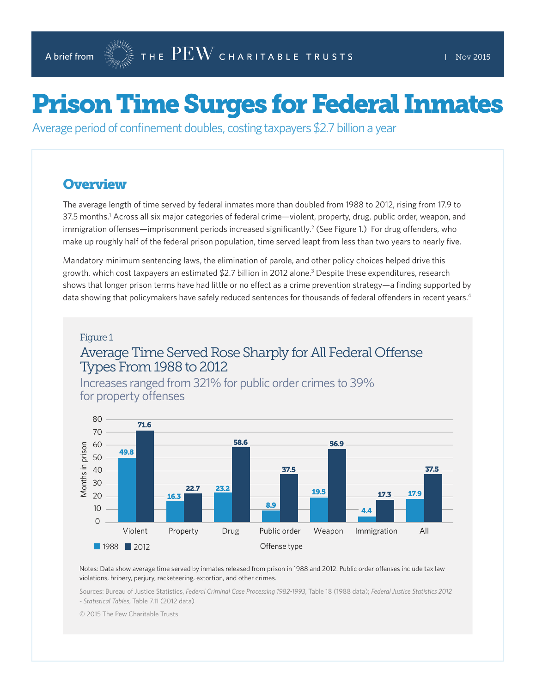# Prison Time Surges for Federal Inmates

Average period of confinement doubles, costing taxpayers \$2.7 billion a year

#### **Overview**

The average length of time served by federal inmates more than doubled from 1988 to 2012, rising from 17.9 to 37.5 months.<sup>1</sup> Across all six major categories of federal crime—violent, property, drug, public order, weapon, and immigration offenses—imprisonment periods increased significantly.<sup>2</sup> (See Figure 1.) For drug offenders, who make up roughly half of the federal prison population, time served leapt from less than two years to nearly five.

Mandatory minimum sentencing laws, the elimination of parole, and other policy choices helped drive this growth, which cost taxpayers an estimated \$2.7 billion in 2012 alone.3 Despite these expenditures, research shows that longer prison terms have had little or no effect as a crime prevention strategy—a finding supported by data showing that policymakers have safely reduced sentences for thousands of federal offenders in recent years.<sup>4</sup>

#### Figure 1

#### Average Time Served Rose Sharply for All Federal Offense Types From 1988 to 2012

Increases ranged from 321% for public order crimes to 39% for property offenses



Notes: Data show average time served by inmates released from prison in 1988 and 2012. Public order offenses include tax law violations, bribery, perjury, racketeering, extortion, and other crimes.

Sources: Bureau of Justice Statistics, *Federal Criminal Case Processing 1982-1993*, Table 18 (1988 data); *Federal Justice Statistics 2012 - Statistical Tables*, Table 7.11 (2012 data)

© 2015 The Pew Charitable Trusts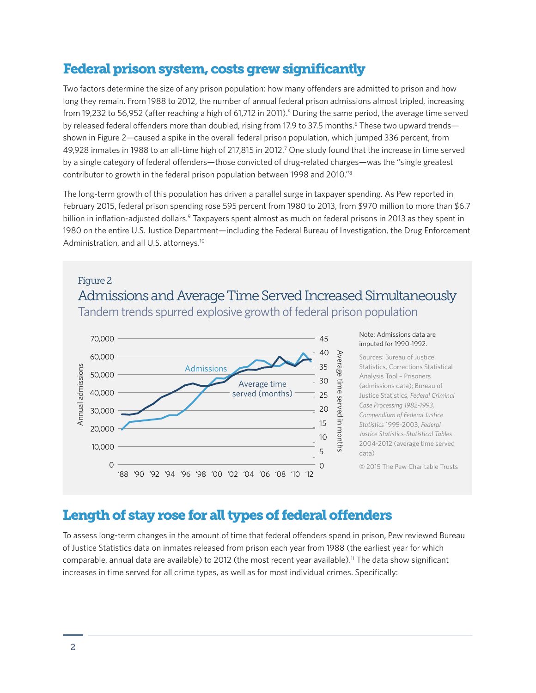# Federal prison system, costs grew significantly

Two factors determine the size of any prison population: how many offenders are admitted to prison and how long they remain. From 1988 to 2012, the number of annual federal prison admissions almost tripled, increasing from 19,232 to 56,952 (after reaching a high of 61,712 in 2011).<sup>5</sup> During the same period, the average time served by released federal offenders more than doubled, rising from 17.9 to 37.5 months.<sup>6</sup> These two upward trends shown in Figure 2—caused a spike in the overall federal prison population, which jumped 336 percent, from 49,928 inmates in 1988 to an all-time high of 217,815 in 2012.<sup>7</sup> One study found that the increase in time served by a single category of federal offenders—those convicted of drug-related charges—was the "single greatest contributor to growth in the federal prison population between 1998 and 2010."8

The long-term growth of this population has driven a parallel surge in taxpayer spending. As Pew reported in February 2015, federal prison spending rose 595 percent from 1980 to 2013, from \$970 million to more than \$6.7 billion in inflation-adjusted dollars.<sup>9</sup> Taxpayers spent almost as much on federal prisons in 2013 as they spent in 1980 on the entire U.S. Justice Department—including the Federal Bureau of Investigation, the Drug Enforcement Administration, and all U.S. attorneys.<sup>10</sup>

# Figure 2 Admissions and Average Time Served Increased Simultaneously Tandem trends spurred explosive growth of federal prison population



# Length of stay rose for all types of federal offenders

To assess long-term changes in the amount of time that federal offenders spend in prison, Pew reviewed Bureau of Justice Statistics data on inmates released from prison each year from 1988 (the earliest year for which comparable, annual data are available) to 2012 (the most recent year available).11 The data show significant increases in time served for all crime types, as well as for most individual crimes. Specifically: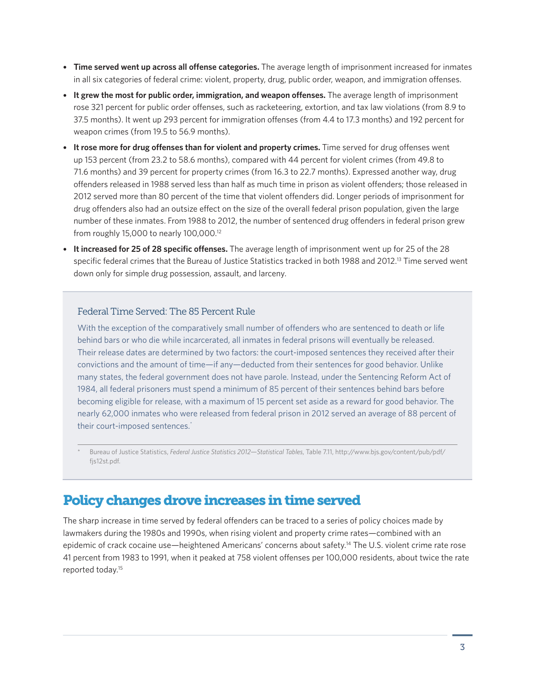- **Time served went up across all offense categories.** The average length of imprisonment increased for inmates in all six categories of federal crime: violent, property, drug, public order, weapon, and immigration offenses.
- **It grew the most for public order, immigration, and weapon offenses.** The average length of imprisonment rose 321 percent for public order offenses, such as racketeering, extortion, and tax law violations (from 8.9 to 37.5 months). It went up 293 percent for immigration offenses (from 4.4 to 17.3 months) and 192 percent for weapon crimes (from 19.5 to 56.9 months).
- **It rose more for drug offenses than for violent and property crimes.** Time served for drug offenses went up 153 percent (from 23.2 to 58.6 months), compared with 44 percent for violent crimes (from 49.8 to 71.6 months) and 39 percent for property crimes (from 16.3 to 22.7 months). Expressed another way, drug offenders released in 1988 served less than half as much time in prison as violent offenders; those released in 2012 served more than 80 percent of the time that violent offenders did. Longer periods of imprisonment for drug offenders also had an outsize effect on the size of the overall federal prison population, given the large number of these inmates. From 1988 to 2012, the number of sentenced drug offenders in federal prison grew from roughly 15,000 to nearly 100,000.12
- **It increased for 25 of 28 specific offenses.** The average length of imprisonment went up for 25 of the 28 specific federal crimes that the Bureau of Justice Statistics tracked in both 1988 and 2012.<sup>13</sup> Time served went down only for simple drug possession, assault, and larceny.

#### Federal Time Served: The 85 Percent Rule

With the exception of the comparatively small number of offenders who are sentenced to death or life behind bars or who die while incarcerated, all inmates in federal prisons will eventually be released. Their release dates are determined by two factors: the court-imposed sentences they received after their convictions and the amount of time—if any—deducted from their sentences for good behavior. Unlike many states, the federal government does not have parole. Instead, under the Sentencing Reform Act of 1984, all federal prisoners must spend a minimum of 85 percent of their sentences behind bars before becoming eligible for release, with a maximum of 15 percent set aside as a reward for good behavior. The nearly 62,000 inmates who were released from federal prison in 2012 served an average of 88 percent of their court-imposed sentences.<sup>\*</sup>

\* Bureau of Justice Statistics, *Federal Justice Statistics 2012—Statistical Tables*, Table 7.11, http://www.bjs.gov/content/pub/pdf/ fjs12st.pdf.

# Policy changes drove increases in time served

The sharp increase in time served by federal offenders can be traced to a series of policy choices made by lawmakers during the 1980s and 1990s, when rising violent and property crime rates—combined with an epidemic of crack cocaine use—heightened Americans' concerns about safety.14 The U.S. violent crime rate rose 41 percent from 1983 to 1991, when it peaked at 758 violent offenses per 100,000 residents, about twice the rate reported today.15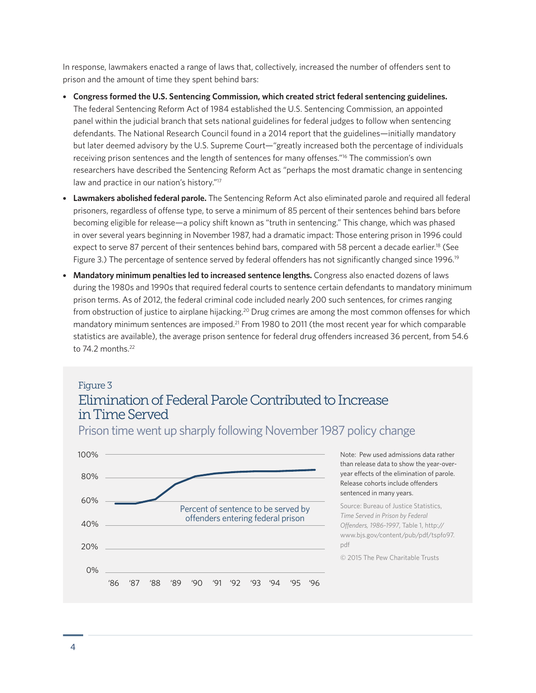In response, lawmakers enacted a range of laws that, collectively, increased the number of offenders sent to prison and the amount of time they spent behind bars:

- **Congress formed the U.S. Sentencing Commission, which created strict federal sentencing guidelines.**  The federal Sentencing Reform Act of 1984 established the U.S. Sentencing Commission, an appointed panel within the judicial branch that sets national guidelines for federal judges to follow when sentencing defendants. The National Research Council found in a 2014 report that the guidelines—initially mandatory but later deemed advisory by the U.S. Supreme Court—"greatly increased both the percentage of individuals receiving prison sentences and the length of sentences for many offenses."16 The commission's own researchers have described the Sentencing Reform Act as "perhaps the most dramatic change in sentencing law and practice in our nation's history."17
- **Lawmakers abolished federal parole.** The Sentencing Reform Act also eliminated parole and required all federal prisoners, regardless of offense type, to serve a minimum of 85 percent of their sentences behind bars before becoming eligible for release—a policy shift known as "truth in sentencing." This change, which was phased in over several years beginning in November 1987, had a dramatic impact: Those entering prison in 1996 could expect to serve 87 percent of their sentences behind bars, compared with 58 percent a decade earlier.<sup>18</sup> (See Figure 3.) The percentage of sentence served by federal offenders has not significantly changed since 1996.<sup>19</sup>
- **Mandatory minimum penalties led to increased sentence lengths.** Congress also enacted dozens of laws during the 1980s and 1990s that required federal courts to sentence certain defendants to mandatory minimum prison terms. As of 2012, the federal criminal code included nearly 200 such sentences, for crimes ranging from obstruction of justice to airplane hijacking.20 Drug crimes are among the most common offenses for which mandatory minimum sentences are imposed.<sup>21</sup> From 1980 to 2011 (the most recent year for which comparable statistics are available), the average prison sentence for federal drug offenders increased 36 percent, from 54.6 to 74.2 months.22

# Figure 3 Elimination of Federal Parole Contributed to Increase in Time Served



Prison time went up sharply following November 1987 policy change

Note: Pew used admissions data rather than release data to show the year-overyear effects of the elimination of parole. Release cohorts include offenders sentenced in many years.

Source: Bureau of Justice Statistics, *Time Served in Prison by Federal Offenders, 1986-1997*, Table 1, http:// www.bjs.gov/content/pub/pdf/tspfo97. pdf

© 2015 The Pew Charitable Trusts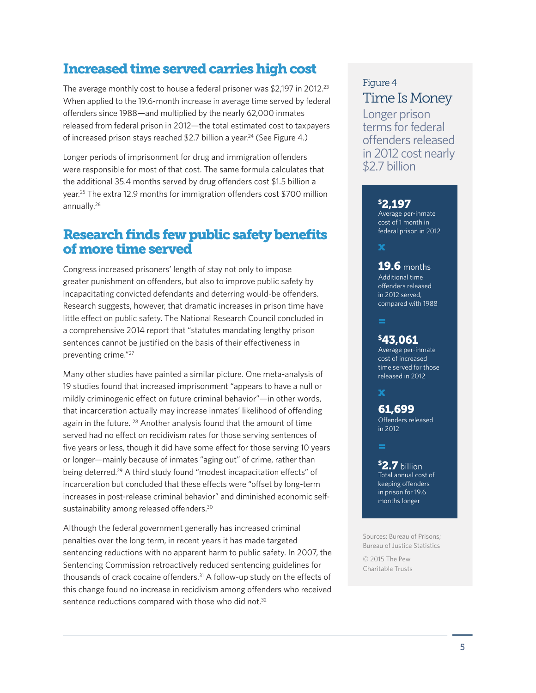# Increased time served carries high cost

The average monthly cost to house a federal prisoner was \$2,197 in 2012.<sup>23</sup> When applied to the 19.6-month increase in average time served by federal offenders since 1988—and multiplied by the nearly 62,000 inmates released from federal prison in 2012—the total estimated cost to taxpayers of increased prison stays reached \$2.7 billion a year.<sup>24</sup> (See Figure 4.)

Longer periods of imprisonment for drug and immigration offenders were responsible for most of that cost. The same formula calculates that the additional 35.4 months served by drug offenders cost \$1.5 billion a year.25 The extra 12.9 months for immigration offenders cost \$700 million annually.26

# Research finds few public safety benefits of more time served

Congress increased prisoners' length of stay not only to impose greater punishment on offenders, but also to improve public safety by incapacitating convicted defendants and deterring would-be offenders. Research suggests, however, that dramatic increases in prison time have little effect on public safety. The National Research Council concluded in a comprehensive 2014 report that "statutes mandating lengthy prison sentences cannot be justified on the basis of their effectiveness in preventing crime."27

Many other studies have painted a similar picture. One meta-analysis of 19 studies found that increased imprisonment "appears to have a null or mildly criminogenic effect on future criminal behavior"—in other words, that incarceration actually may increase inmates' likelihood of offending again in the future. <sup>28</sup> Another analysis found that the amount of time served had no effect on recidivism rates for those serving sentences of five years or less, though it did have some effect for those serving 10 years or longer—mainly because of inmates "aging out" of crime, rather than being deterred.29 A third study found "modest incapacitation effects" of incarceration but concluded that these effects were "offset by long-term increases in post-release criminal behavior" and diminished economic selfsustainability among released offenders.<sup>30</sup>

Although the federal government generally has increased criminal penalties over the long term, in recent years it has made targeted sentencing reductions with no apparent harm to public safety. In 2007, the Sentencing Commission retroactively reduced sentencing guidelines for thousands of crack cocaine offenders.31 A follow-up study on the effects of this change found no increase in recidivism among offenders who received sentence reductions compared with those who did not.<sup>32</sup>

# Figure 4 Time Is Money

Longer prison terms for federal offenders released in 2012 cost nearly \$2.7 billion

#### \$ 2,197

Average per-inmate cost of 1 month in federal prison in 2012

x

#### **19.6** months

Additional time offenders released in 2012 served, compared with 1988

#### \$ 43,061

Average per-inmate cost of increased time served for those released in 2012

x

#### Offenders released in 2012 61,699

Total annual cost of keeping offenders in prison for 19.6 months longer \$ 2.7 billion

Sources: Bureau of Prisons; Bureau of Justice Statistics

© 2015 The Pew Charitable Trusts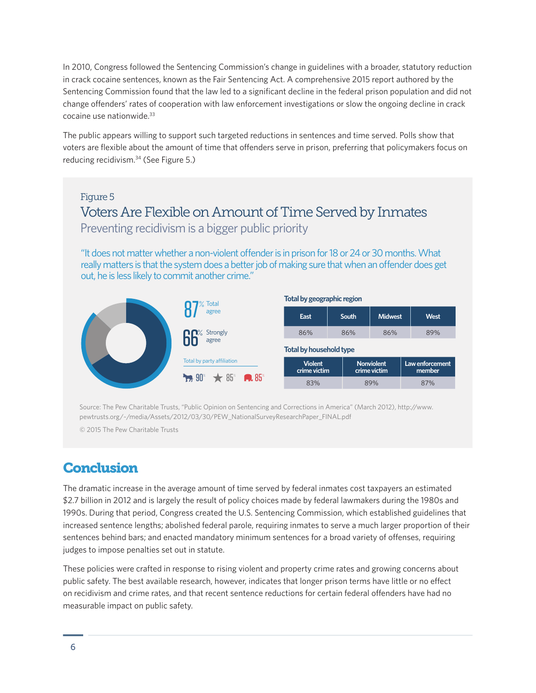In 2010, Congress followed the Sentencing Commission's change in guidelines with a broader, statutory reduction in crack cocaine sentences, known as the Fair Sentencing Act. A comprehensive 2015 report authored by the Sentencing Commission found that the law led to a significant decline in the federal prison population and did not change offenders' rates of cooperation with law enforcement investigations or slow the ongoing decline in crack cocaine use nationwide.33

The public appears willing to support such targeted reductions in sentences and time served. Polls show that voters are flexible about the amount of time that offenders serve in prison, preferring that policymakers focus on reducing recidivism.34 (See Figure 5.)

#### Figure 5

# Voters Are Flexible on Amount of Time Served by Inmates Preventing recidivism is a bigger public priority

"It does not matter whether a non-violent offender is in prison for 18 or 24 or 30 months. What really matters is that the system does a better job of making sure that when an offender does get out, he is less likely to commit another crime."



Source: The Pew Charitable Trusts, "Public Opinion on Sentencing and Corrections in America" (March 2012), [http://www.](http://www.pewtrusts.org/~/media/Assets/2012/03/30/PEW_NationalSurveyResearchPaper_FINAL.pdf) [pewtrusts.org/~/media/Assets/2012/03/30/PEW\\_NationalSurveyResearchPaper\\_FINAL.pdf](http://www.pewtrusts.org/~/media/Assets/2012/03/30/PEW_NationalSurveyResearchPaper_FINAL.pdf)

© 2015 The Pew Charitable Trusts

# **Conclusion**

The dramatic increase in the average amount of time served by federal inmates cost taxpayers an estimated \$2.7 billion in 2012 and is largely the result of policy choices made by federal lawmakers during the 1980s and 1990s. During that period, Congress created the U.S. Sentencing Commission, which established guidelines that increased sentence lengths; abolished federal parole, requiring inmates to serve a much larger proportion of their sentences behind bars; and enacted mandatory minimum sentences for a broad variety of offenses, requiring judges to impose penalties set out in statute.

These policies were crafted in response to rising violent and property crime rates and growing concerns about public safety. The best available research, however, indicates that longer prison terms have little or no effect on recidivism and crime rates, and that recent sentence reductions for certain federal offenders have had no measurable impact on public safety.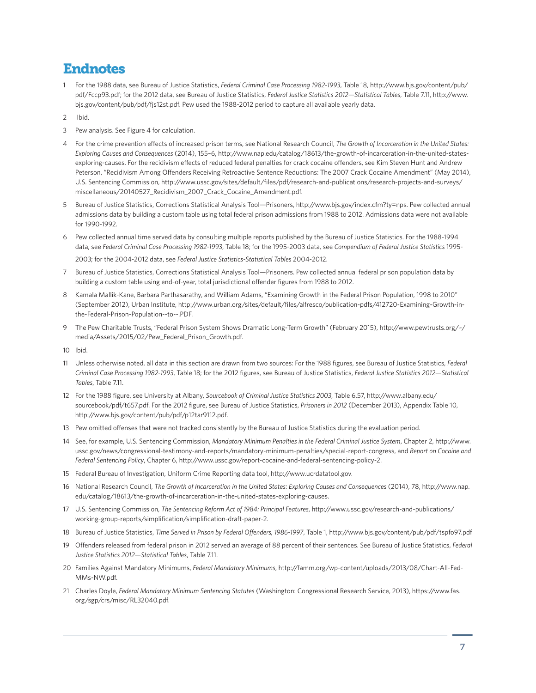#### Endnotes

- 1 For the 1988 data, see Bureau of Justice Statistics, *Federal Criminal Case Processing 1982-1993*, Table 18, [http://www.bjs.gov/content/pub/](http://www.bjs.gov/content/pub/pdf/Fccp93.pdf) [pdf/Fccp93.pdf](http://www.bjs.gov/content/pub/pdf/Fccp93.pdf); for the 2012 data, see Bureau of Justice Statistics, *Federal Justice Statistics 2012—Statistical Tables*, Table 7.11, [http://www.](http://www.bjs.gov/content/pub/pdf/fjs12st.pdf) [bjs.gov/content/pub/pdf/fjs12st.pdf.](http://www.bjs.gov/content/pub/pdf/fjs12st.pdf) Pew used the 1988-2012 period to capture all available yearly data.
- 2 Ibid.
- 3 Pew analysis. See Figure 4 for calculation.
- 4 For the crime prevention effects of increased prison terms, see National Research Council, *The Growth of Incarceration in the United States: Exploring Causes and Consequences* (2014), 155–6, [http://www.nap.edu/catalog/18613/the-growth-of-incarceration-in-the-united-states](http://www.nap.edu/catalog/18613/the-growth-of-incarceration-in-the-united-states-exploring-causes)[exploring-causes](http://www.nap.edu/catalog/18613/the-growth-of-incarceration-in-the-united-states-exploring-causes). For the recidivism effects of reduced federal penalties for crack cocaine offenders, see Kim Steven Hunt and Andrew Peterson, "Recidivism Among Offenders Receiving Retroactive Sentence Reductions: The 2007 Crack Cocaine Amendment" (May 2014), U.S. Sentencing Commission, [http://www.ussc.gov/sites/default/files/pdf/research-and-publications/research-projects-and-surveys/](http://www.ussc.gov/sites/default/files/pdf/research-and-publications/research-projects-and-surveys/miscellaneous/20140527_Recidivism_2007_Crack_Cocaine_Amendment.pdf) [miscellaneous/20140527\\_Recidivism\\_2007\\_Crack\\_Cocaine\\_Amendment.pdf](http://www.ussc.gov/sites/default/files/pdf/research-and-publications/research-projects-and-surveys/miscellaneous/20140527_Recidivism_2007_Crack_Cocaine_Amendment.pdf).
- 5 Bureau of Justice Statistics, Corrections Statistical Analysis Tool—Prisoners, [http://www.bjs.gov/index.cfm?ty=nps.](http://www.bjs.gov/index.cfm?ty=nps) Pew collected annual admissions data by building a custom table using total federal prison admissions from 1988 to 2012. Admissions data were not available for 1990-1992.
- 6 Pew collected annual time served data by consulting multiple reports published by the Bureau of Justice Statistics. For the 1988-1994 data, see *Federal Criminal Case Processing 1982-1993*, Table 18; for the 1995-2003 data, see *Compendium of Federal Justice Statistics* 1995- 2003; for the 2004-2012 data, see *Federal Justice Statistics-Statistical Tables* 2004-2012.
- 7 Bureau of Justice Statistics, Corrections Statistical Analysis Tool—Prisoners. Pew collected annual federal prison population data by building a custom table using end-of-year, total jurisdictional offender figures from 1988 to 2012.
- 8 Kamala Mallik-Kane, Barbara Parthasarathy, and William Adams, "Examining Growth in the Federal Prison Population, 1998 to 2010" (September 2012), Urban Institute, [http://www.urban.org/sites/default/files/alfresco/publication-pdfs/412720-Examining-Growth-in](http://www.urban.org/sites/default/files/alfresco/publication-pdfs/412720-Examining-Growth-in-the-Federal-Prison-Population--to--.PDF)[the-Federal-Prison-Population--to--.PDF.](http://www.urban.org/sites/default/files/alfresco/publication-pdfs/412720-Examining-Growth-in-the-Federal-Prison-Population--to--.PDF)
- 9 The Pew Charitable Trusts, "Federal Prison System Shows Dramatic Long-Term Growth" (February 2015), [http://www.pewtrusts.org/~/](http://www.pewtrusts.org/~/media/Assets/2015/02/Pew_Federal_Prison_Growth.pdf) [media/Assets/2015/02/Pew\\_Federal\\_Prison\\_Growth.pdf](http://www.pewtrusts.org/~/media/Assets/2015/02/Pew_Federal_Prison_Growth.pdf).
- 10 Ibid.
- 11 Unless otherwise noted, all data in this section are drawn from two sources: For the 1988 figures, see Bureau of Justice Statistics, *Federal Criminal Case Processing 1982-1993*, Table 18; for the 2012 figures, see Bureau of Justice Statistics, *Federal Justice Statistics 2012—Statistical Tables*, Table 7.11.
- 12 For the 1988 figure, see University at Albany, *Sourcebook of Criminal Justice Statistics 2003*, Table 6.57, [http://www.albany.edu/](http://www.albany.edu/sourcebook/pdf/t657.pdf) [sourcebook/pdf/t657.pdf.](http://www.albany.edu/sourcebook/pdf/t657.pdf) For the 2012 figure, see Bureau of Justice Statistics, *Prisoners in 2012* (December 2013), Appendix Table 10, [http://www.bjs.gov/content/pub/pdf/p12tar9112.pdf.](http://www.bjs.gov/content/pub/pdf/p12tar9112.pdf)
- 13 Pew omitted offenses that were not tracked consistently by the Bureau of Justice Statistics during the evaluation period.
- 14 See, for example, U.S. Sentencing Commission, *Mandatory Minimum Penalties in the Federal Criminal Justice System*, Chapter 2, [http://www.](http://www.ussc.gov/news/congressional-testimony-and-reports/mandatory-minimum-penalties/special-report-congress) [ussc.gov/news/congressional-testimony-and-reports/mandatory-minimum-penalties/special-report-congress,](http://www.ussc.gov/news/congressional-testimony-and-reports/mandatory-minimum-penalties/special-report-congress) and *Report on Cocaine and Federal Sentencing Policy*, Chapter 6, [http://www.ussc.gov/report-cocaine-and-federal-sentencing-policy-2.](http://www.ussc.gov/report-cocaine-and-federal-sentencing-policy-2)
- 15 Federal Bureau of Investigation, Uniform Crime Reporting data tool, <http://www.ucrdatatool.gov>.
- 16 National Research Council, *The Growth of Incarceration in the United States: Exploring Causes and Consequences* (2014), 78, [http://www.nap.](http://www.nap.edu/catalog/18613/the-growth-of-incarceration-in-the-united-states-exploring-causes) [edu/catalog/18613/the-growth-of-incarceration-in-the-united-states-exploring-causes](http://www.nap.edu/catalog/18613/the-growth-of-incarceration-in-the-united-states-exploring-causes).
- 17 U.S. Sentencing Commission, *The Sentencing Reform Act of 1984: Principal Features*, [http://www.ussc.gov/research-and-publications/](http://www.ussc.gov/research-and-publications/working-group-reports/simplification/simplification-draft-paper-2) [working-group-reports/simplification/simplification-draft-paper-2](http://www.ussc.gov/research-and-publications/working-group-reports/simplification/simplification-draft-paper-2).
- 18 Bureau of Justice Statistics, *Time Served in Prison by Federal Offenders, 1986-1997*, Table 1,<http://www.bjs.gov/content/pub/pdf/tspfo97.pdf>
- 19 Offenders released from federal prison in 2012 served an average of 88 percent of their sentences. See Bureau of Justice Statistics, *Federal Justice Statistics 2012—Statistical Tables*, Table 7.11.
- 20 Families Against Mandatory Minimums, *Federal Mandatory Minimums*, [http://famm.org/wp-content/uploads/2013/08/Chart-All-Fed-](http://famm.org/wp-content/uploads/2013/08/Chart-All-Fed-MMs-NW.pdf)[MMs-NW.pdf.](http://famm.org/wp-content/uploads/2013/08/Chart-All-Fed-MMs-NW.pdf)
- 21 Charles Doyle, *Federal Mandatory Minimum Sentencing Statutes* (Washington: Congressional Research Service, 2013), [https://www.fas.](https://www.fas.org/sgp/crs/misc/RL32040.pdf) [org/sgp/crs/misc/RL32040.pdf](https://www.fas.org/sgp/crs/misc/RL32040.pdf).